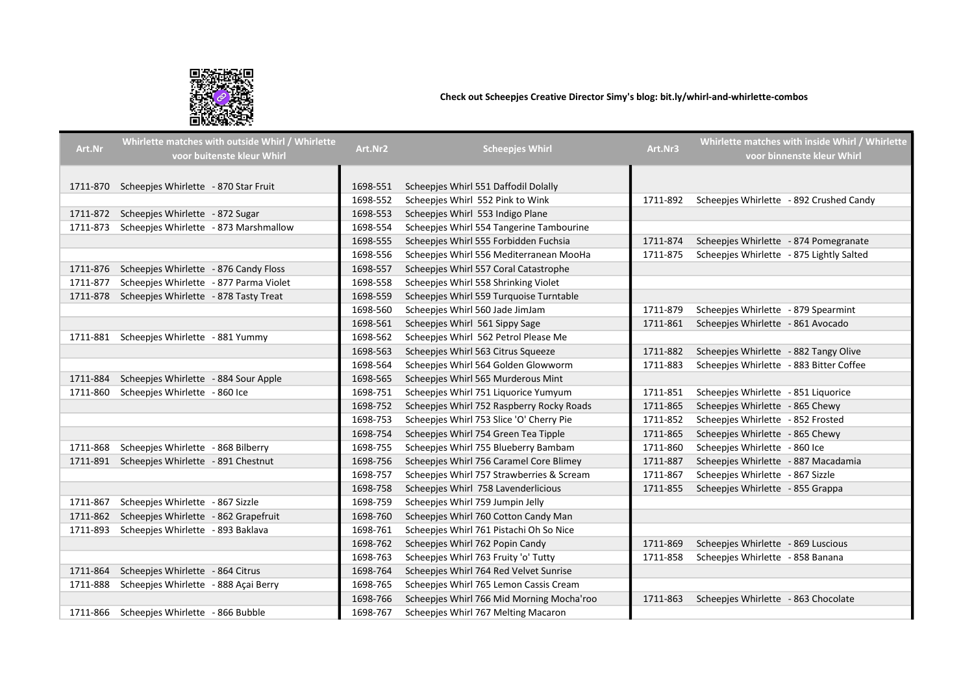

## Check out Scheepjes Creative Director Simy's blog: bit.ly/whirl-and-whirlette-combos

| Art.Nr   | Whirlette matches with outside Whirl / Whirlette<br>voor buitenste kleur Whirl | Art.Nr2  | <b>Scheepjes Whirl</b>                    | Art.Nr3  | Whirlette matches with inside Whirl / Whirlette<br>voor binnenste kleur Whirl |
|----------|--------------------------------------------------------------------------------|----------|-------------------------------------------|----------|-------------------------------------------------------------------------------|
|          |                                                                                |          |                                           |          |                                                                               |
|          | 1711-870 Scheepjes Whirlette - 870 Star Fruit                                  | 1698-551 | Scheepjes Whirl 551 Daffodil Dolally      |          |                                                                               |
|          |                                                                                | 1698-552 | Scheepjes Whirl 552 Pink to Wink          | 1711-892 | Scheepjes Whirlette - 892 Crushed Candy                                       |
|          | 1711-872 Scheepjes Whirlette - 872 Sugar                                       | 1698-553 | Scheepjes Whirl 553 Indigo Plane          |          |                                                                               |
|          | 1711-873 Scheepjes Whirlette - 873 Marshmallow                                 | 1698-554 | Scheepjes Whirl 554 Tangerine Tambourine  |          |                                                                               |
|          |                                                                                | 1698-555 | Scheepies Whirl 555 Forbidden Fuchsia     | 1711-874 | Scheepjes Whirlette - 874 Pomegranate                                         |
|          |                                                                                | 1698-556 | Scheepjes Whirl 556 Mediterranean MooHa   | 1711-875 | Scheepjes Whirlette - 875 Lightly Salted                                      |
|          | 1711-876 Scheepjes Whirlette - 876 Candy Floss                                 | 1698-557 | Scheepjes Whirl 557 Coral Catastrophe     |          |                                                                               |
|          | 1711-877 Scheepjes Whirlette - 877 Parma Violet                                | 1698-558 | Scheepjes Whirl 558 Shrinking Violet      |          |                                                                               |
|          | 1711-878 Scheepjes Whirlette - 878 Tasty Treat                                 | 1698-559 | Scheepjes Whirl 559 Turquoise Turntable   |          |                                                                               |
|          |                                                                                | 1698-560 | Scheepjes Whirl 560 Jade JimJam           | 1711-879 | Scheepjes Whirlette - 879 Spearmint                                           |
|          |                                                                                | 1698-561 | Scheepjes Whirl 561 Sippy Sage            | 1711-861 | Scheepjes Whirlette - 861 Avocado                                             |
|          | 1711-881 Scheepjes Whirlette - 881 Yummy                                       | 1698-562 | Scheepies Whirl 562 Petrol Please Me      |          |                                                                               |
|          |                                                                                | 1698-563 | Scheepjes Whirl 563 Citrus Squeeze        | 1711-882 | Scheepjes Whirlette - 882 Tangy Olive                                         |
|          |                                                                                | 1698-564 | Scheepjes Whirl 564 Golden Glowworm       | 1711-883 | Scheepjes Whirlette - 883 Bitter Coffee                                       |
| 1711-884 | Scheepjes Whirlette - 884 Sour Apple                                           | 1698-565 | Scheepjes Whirl 565 Murderous Mint        |          |                                                                               |
| 1711-860 | Scheepjes Whirlette - 860 Ice                                                  | 1698-751 | Scheepjes Whirl 751 Liquorice Yumyum      | 1711-851 | Scheepjes Whirlette - 851 Liquorice                                           |
|          |                                                                                | 1698-752 | Scheepjes Whirl 752 Raspberry Rocky Roads | 1711-865 | Scheepjes Whirlette - 865 Chewy                                               |
|          |                                                                                | 1698-753 | Scheepjes Whirl 753 Slice 'O' Cherry Pie  | 1711-852 | Scheepjes Whirlette - 852 Frosted                                             |
|          |                                                                                | 1698-754 | Scheepies Whirl 754 Green Tea Tipple      | 1711-865 | Scheepies Whirlette - 865 Chewy                                               |
| 1711-868 | Scheepies Whirlette - 868 Bilberry                                             | 1698-755 | Scheepies Whirl 755 Blueberry Bambam      | 1711-860 | Scheepies Whirlette - 860 Ice                                                 |
|          | 1711-891 Scheepjes Whirlette - 891 Chestnut                                    | 1698-756 | Scheepjes Whirl 756 Caramel Core Blimey   | 1711-887 | Scheepjes Whirlette - 887 Macadamia                                           |
|          |                                                                                | 1698-757 | Scheepjes Whirl 757 Strawberries & Scream | 1711-867 | Scheepjes Whirlette - 867 Sizzle                                              |
|          |                                                                                | 1698-758 | Scheepjes Whirl 758 Lavenderlicious       | 1711-855 | Scheepjes Whirlette - 855 Grappa                                              |
| 1711-867 | Scheepjes Whirlette - 867 Sizzle                                               | 1698-759 | Scheepjes Whirl 759 Jumpin Jelly          |          |                                                                               |
|          | 1711-862 Scheepjes Whirlette - 862 Grapefruit                                  | 1698-760 | Scheepjes Whirl 760 Cotton Candy Man      |          |                                                                               |
|          | 1711-893 Scheepjes Whirlette - 893 Baklava                                     | 1698-761 | Scheepjes Whirl 761 Pistachi Oh So Nice   |          |                                                                               |
|          |                                                                                | 1698-762 | Scheepjes Whirl 762 Popin Candy           | 1711-869 | Scheepjes Whirlette - 869 Luscious                                            |
|          |                                                                                | 1698-763 | Scheepjes Whirl 763 Fruity 'o' Tutty      | 1711-858 | Scheepjes Whirlette - 858 Banana                                              |
| 1711-864 | Scheepjes Whirlette - 864 Citrus                                               | 1698-764 | Scheepies Whirl 764 Red Velvet Sunrise    |          |                                                                               |
| 1711-888 | Scheepjes Whirlette - 888 Açai Berry                                           | 1698-765 | Scheepjes Whirl 765 Lemon Cassis Cream    |          |                                                                               |
|          |                                                                                | 1698-766 | Scheepjes Whirl 766 Mid Morning Mocha'roo | 1711-863 | Scheepjes Whirlette - 863 Chocolate                                           |
|          | 1711-866 Scheepjes Whirlette - 866 Bubble                                      | 1698-767 | Scheepjes Whirl 767 Melting Macaron       |          |                                                                               |